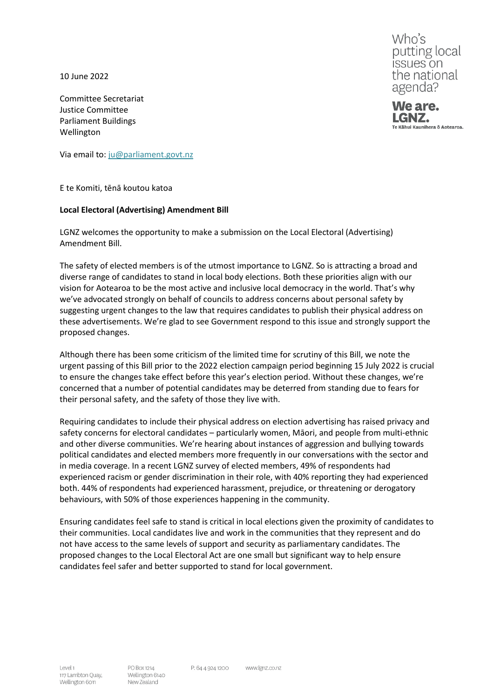10 June 2022

Committee Secretariat Justice Committee Parliament Buildings Wellington

Via email to: [ju@parliament.govt.nz](mailto:ju@parliament.govt.nz)

E te Komiti, tēnā koutou katoa

## **Local Electoral (Advertising) Amendment Bill**

LGNZ welcomes the opportunity to make a submission on the Local Electoral (Advertising) Amendment Bill.

The safety of elected members is of the utmost importance to LGNZ. So is attracting a broad and diverse range of candidates to stand in local body elections. Both these priorities align with our vision for Aotearoa to be the most active and inclusive local democracy in the world. That's why we've advocated strongly on behalf of councils to address concerns about personal safety by suggesting urgent changes to the law that requires candidates to publish their physical address on these advertisements. We're glad to see Government respond to this issue and strongly support the proposed changes.

Although there has been some criticism of the limited time for scrutiny of this Bill, we note the urgent passing of this Bill prior to the 2022 election campaign period beginning 15 July 2022 is crucial to ensure the changes take effect before this year's election period. Without these changes, we're concerned that a number of potential candidates may be deterred from standing due to fears for their personal safety, and the safety of those they live with.

Requiring candidates to include their physical address on election advertising has raised privacy and safety concerns for electoral candidates – particularly women, Māori, and people from multi-ethnic and other diverse communities. We're hearing about instances of aggression and bullying towards political candidates and elected members more frequently in our conversations with the sector and in media coverage. In a recent LGNZ survey of elected members, 49% of respondents had experienced racism or gender discrimination in their role, with 40% reporting they had experienced both. 44% of respondents had experienced harassment, prejudice, or threatening or derogatory behaviours, with 50% of those experiences happening in the community.

Ensuring candidates feel safe to stand is critical in local elections given the proximity of candidates to their communities. Local candidates live and work in the communities that they represent and do not have access to the same levels of support and security as parliamentary candidates. The proposed changes to the Local Electoral Act are one small but significant way to help ensure candidates feel safer and better supported to stand for local government.

Who's putting local issues on the national agenda?